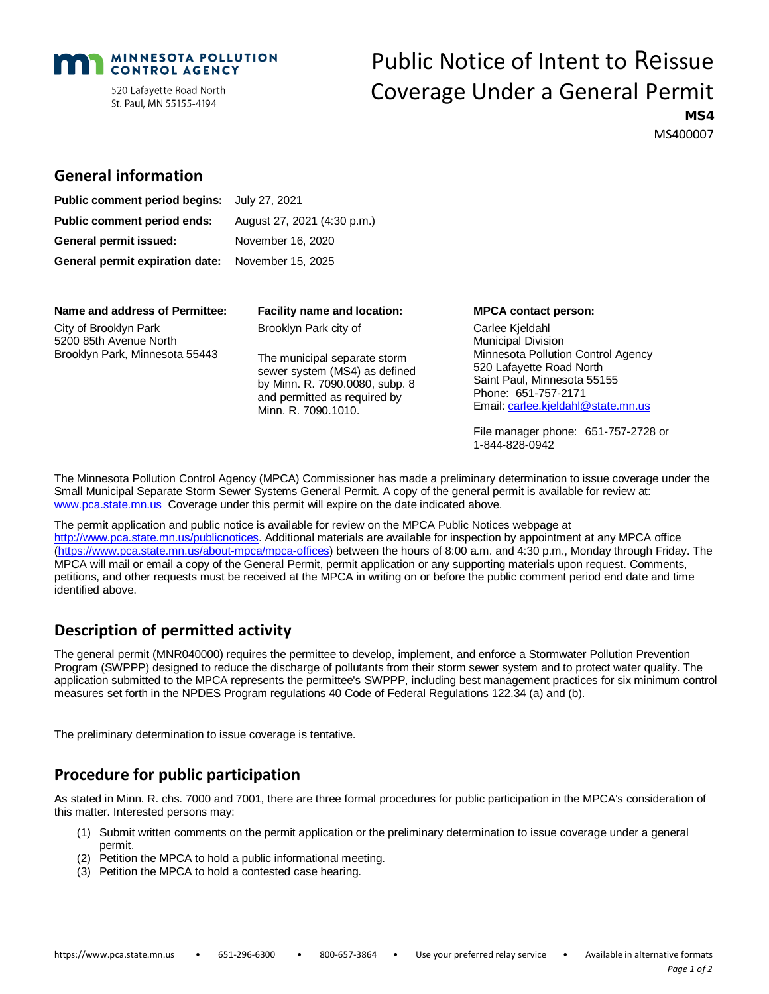#### **MINNESOTA POLLUTION CONTROL AGENCY**

520 Lafayette Road North St. Paul, MN 55155-4194

**General information**

# Public Notice of Intent to Reissue Coverage Under a General Permit

MS4 MS400007

| Public comment period begins:                            | July 27, 2021               |
|----------------------------------------------------------|-----------------------------|
| Public comment period ends:                              | August 27, 2021 (4:30 p.m.) |
| General permit issued:                                   | November 16, 2020           |
| <b>General permit expiration date:</b> November 15, 2025 |                             |
|                                                          |                             |

| Name and address of Permittee:                                                    | <b>Facility name and location:</b>                                                                                                                       | <b>MPCA contact person:</b>                                                                                                                                          |
|-----------------------------------------------------------------------------------|----------------------------------------------------------------------------------------------------------------------------------------------------------|----------------------------------------------------------------------------------------------------------------------------------------------------------------------|
| City of Brooklyn Park<br>5200 85th Avenue North<br>Brooklyn Park, Minnesota 55443 | Brooklyn Park city of<br>The municipal separate storm<br>sewer system (MS4) as defined<br>by Minn. R. 7090.0080, subp. 8<br>and permitted as required by | Carlee Kieldahl<br><b>Municipal Division</b><br>Minnesota Pollution Control Agency<br>520 Lafayette Road North<br>Saint Paul, Minnesota 55155<br>Phone: 651-757-2171 |
|                                                                                   | Minn. R. 7090.1010.                                                                                                                                      | Email: carlee.kjeldahl@state.mn.us<br>File manager phone: 651-757-2728 or<br>1-844-828-0942                                                                          |

The Minnesota Pollution Control Agency (MPCA) Commissioner has made a preliminary determination to issue coverage under the Small Municipal Separate Storm Sewer Systems General Permit. A copy of the general permit is available for review at: [www.pca.state.mn.us](http://www.pca.state.mn.us/) Coverage under this permit will expire on the date indicated above.

The permit application and public notice is available for review on the MPCA Public Notices webpage at [http://www.pca.state.mn.us/publicnotices.](http://www.pca.state.mn.us/publicnotices) Additional materials are available for inspection by appointment at any MPCA office [\(https://www.pca.state.mn.us/about-mpca/mpca-offices\)](https://www.pca.state.mn.us/about-mpca/mpca-offices) between the hours of 8:00 a.m. and 4:30 p.m., Monday through Friday. The MPCA will mail or email a copy of the General Permit, permit application or any supporting materials upon request. Comments, petitions, and other requests must be received at the MPCA in writing on or before the public comment period end date and time identified above.

### **Description of permitted activity**

The general permit (MNR040000) requires the permittee to develop, implement, and enforce a Stormwater Pollution Prevention Program (SWPPP) designed to reduce the discharge of pollutants from their storm sewer system and to protect water quality. The application submitted to the MPCA represents the permittee's SWPPP, including best management practices for six minimum control measures set forth in the NPDES Program regulations 40 Code of Federal Regulations 122.34 (a) and (b).

The preliminary determination to issue coverage is tentative.

### **Procedure for public participation**

As stated in Minn. R. chs. 7000 and 7001, there are three formal procedures for public participation in the MPCA's consideration of this matter. Interested persons may:

- (1) Submit written comments on the permit application or the preliminary determination to issue coverage under a general permit.
- (2) Petition the MPCA to hold a public informational meeting.
- (3) Petition the MPCA to hold a contested case hearing.